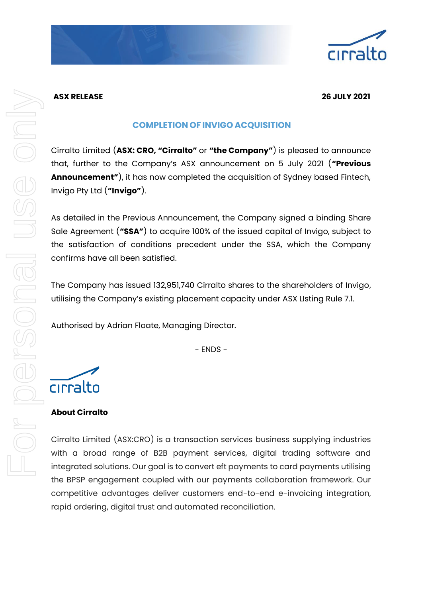

### **ASX RELEASE 26 JULY 2021**

# **COMPLETION OF INVIGO ACQUISITION**

Cirralto Limited (**ASX: CRO, "Cirralto"** or **"the Company"**) is pleased to announce that, further to the Company's ASX announcement on 5 July 2021 (**"Previous Announcement"**), it has now completed the acquisition of Sydney based Fintech, Invigo Pty Ltd (**"Invigo"**).

As detailed in the Previous Announcement, the Company signed a binding Share Sale Agreement (**"SSA"**) to acquire 100% of the issued capital of Invigo, subject to the satisfaction of conditions precedent under the SSA, which the Company confirms have all been satisfied.

The Company has issued 132,951,740 Cirralto shares to the shareholders of Invigo, utilising the Company's existing placement capacity under ASX LIsting Rule 7.1.

Authorised by Adrian Floate, Managing Director.

- ENDS -



# **About Cirralto**

Cirralto Limited (ASX:CRO) is a transaction services business supplying industries with a broad range of B2B payment services, digital trading software and integrated solutions. Our goal is to convert eft payments to card payments utilising the BPSP engagement coupled with our payments collaboration framework. Our competitive advantages deliver customers end-to-end e-invoicing integration, rapid ordering, digital trust and automated reconciliation.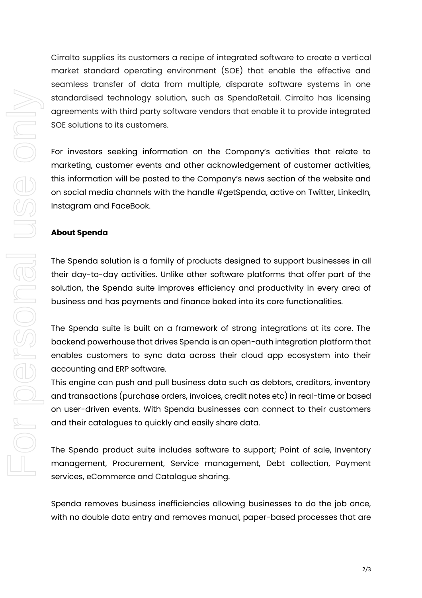Cirralto supplies its customers a recipe of integrated software to create a vertical market standard operating environment (SOE) that enable the effective and seamless transfer of data from multiple, disparate software systems in one standardised technology solution, such as SpendaRetail. Cirralto has licensing agreements with third party software vendors that enable it to provide integrated SOE solutions to its customers.

For investors seeking information on the Company's activities that relate to marketing, customer events and other acknowledgement of customer activities, this information will be posted to the Company's news section of the website and on social media channels with the handle #getSpenda, active on Twitter, LinkedIn, Instagram and FaceBook.

#### **About Spenda**

The Spenda solution is a family of products designed to support businesses in all their day-to-day activities. Unlike other software platforms that offer part of the solution, the Spenda suite improves efficiency and productivity in every area of business and has payments and finance baked into its core functionalities.

The Spenda suite is built on a framework of strong integrations at its core. The backend powerhouse that drives Spenda is an open-auth integration platform that enables customers to sync data across their cloud app ecosystem into their accounting and ERP software.

This engine can push and pull business data such as debtors, creditors, inventory and transactions (purchase orders, invoices, credit notes etc) in real-time or based on user-driven events. With Spenda businesses can connect to their customers and their catalogues to quickly and easily share data.

The Spenda product suite includes software to support; Point of sale, Inventory management, Procurement, Service management, Debt collection, Payment services, eCommerce and Catalogue sharing.

Spenda removes business inefficiencies allowing businesses to do the job once, with no double data entry and removes manual, paper-based processes that are